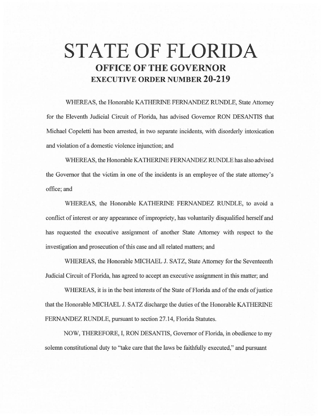# **STATE OF FLORIDA OFFICE OF THE GOVERNOR EXECUTIVE ORDER NUMBER 20-219**

WHEREAS, the Honorable KATHERINE FERNANDEZ RUNDLE, State Attorney for the Eleventh Judicial Circuit of Florida, has advised Governor RON DESANTIS that Michael Copeletti has been arrested, in two separate incidents, with disorderly intoxication and violation of a domestic violence injunction; and

WHEREAS, the Honorable KA THERINE FERNANDEZ RUNDLE has also advised the Governor that the victim in one of the incidents is an employee of the state attorney's office;and

WHEREAS, the Honorable KATHERINE FERNANDEZ RUNDLE, to avoid a conflict of interest or any appearance of impropriety, has voluntarily disqualified herself and has requested the executive assignment of another State Attorney with respect to the investigation and prosecution of this case and all related matters; and

WHEREAS, the Honorable MICHAEL J. SATZ, State Attorney for the Seventeenth Judicial Circuit of Florida, has agreed to accept an executive assignment in this matter; and

WHEREAS, it is in the best interests of the State of Florida and of the ends of justice that the Honorable MICHAEL J. SATZ discharge the duties of the Honorable KA THERINE FERNANDEZ RUNDLE, pursuant to section 27.14, Florida Statutes.

NOW, THEREFORE, I, RON DESANTIS, Governor of Florida, in obedience to my solemn constitutional duty to "take care that the laws be faithfully executed," and pursuant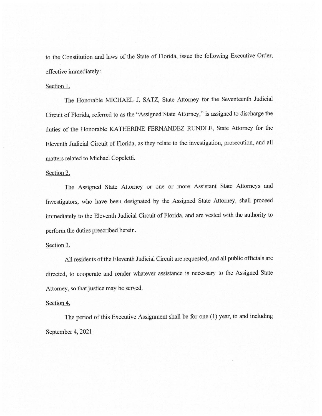to the Constitution and laws of the State of Florida, issue the following Executive Order, effective immediately:

#### Section 1.

The Honorable MICHAEL J. SATZ, State Attorney for the Seventeenth Judicial Circuit of Florida, referred to as the "Assigned State Attorney," is assigned to discharge the duties of the Honorable KATHERINE FERNANDEZ RUNDLE, State Attorney for the Eleventh Judicial Circuit of Florida, as they relate to the investigation, prosecution, and all matters related to Michael Copeletti.

## Section 2.

The Assigned State Attorney or one or more Assistant State Attorneys and Investigators, who have been designated by the Assigned State Attorney, shall proceed immediately to the Eleventh Judicial Circuit of Florida, and are vested with the authority to perform the duties prescribed herein.

## Section 3.

All residents of the Eleventh Judicial Circuit are requested, and all public officials are directed, to cooperate and render whatever assistance is necessary to the Assigned State Attorney, so that justice may be served.

## Section 4.

The period of this Executive Assignment shall be for one (1) year, to and including September 4, 2021.